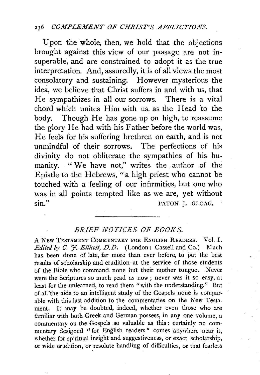## 236 *C0.1IPLEJIIENT OF CHRIST'S AFFLICTIONS.*

Upon the whole, then, we hold that the objections brought against this view of our passage are not insuperable, and are constrained to adopt it as the true interpretation. And, assuredly, it is of all views the most consolatory and sustaining. However mysterious the idea, we believe that Christ suffers in and with us, that He sympathizes in all our sorrows. There is a vital chord which unites Him with us, as the Head to the body. Though He has gone up on high, to reassume the glory He had with his Father before the world was, He feels for his suffering brethren on earth, and is not unmindful of their sorrows. The perfections of his divinity do not obliterate the sympathies of his humanity. "We have not," writes the author of the Epistle to the Hebrews, "a high priest who cannot be touched with a feeling of our infirmities, but one who was in all points tempted like as we are, yet without sin." PATON J. GLOAG;

## *BRIEF NOTICES OF BOOKS.*

A NEW TESTAMENT COMMENTARY FOR ENGLISH READERS. Vol. I. *Edited by C. 7. Ellicott, D.D.* (London: Cassell and Co.) Much has been done of late, far more than ever before, to put the best results of scholarship and erudition at the service of those students of the Bible who command none but their mother tongue. Never were the Scriptures so much read as now; never was it so easy, at least for the unlearned, to read them "with the understanding." But of all\*the aids to an intelligent study of the Gospels none is comparable with this last addition to the commentaries on the New Testament. It may be doubted, indeed, whether even those who are familiar with both Greek and German possess, in any one volume, a commentary on the Gospels so valuable as this : certainly no commentary designed '' for English readers" comes anywhere near it, whether for spiritual insight and suggestiveness, or exact scholarship, or wide erudition, or resolute handling of difficulties, or that fearless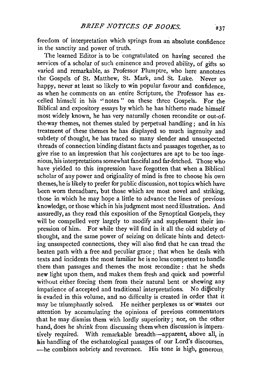freedom of interpretation which springs from an absolute confidence in the sanctity and power of truth.

The learned Editor is to be congratulated on having secured the services of a scholar of such eminence and proved ability, of gifts so varied and remarkable, as Professor Plumptre, who here annotates the Gospels of St. Matthew, St. Mark, and St Luke. Never so happy, never at least so likely to win popular favour and confidence. as when he comments on an entire Scripture, the Professor has excelled himself in his ''notes " on these three Gospels. For the Biblical and expository essays by which he has hitherto made himself most widely known, he has very naturally chosen recondite or out-ofthe-way themes, not themes staled by perpetual handling ; and in his treatment of these themes he has displayed so much ingenuity and subtlety of thought, he has traced so many slender and unsuspected threads of connection binding distant facts and passages together, as to give rise to an impression that his conjectures are apt to be too ingenious, his interpretations somewhat fanciful and far-fetched. Those who have yielded to this impression have forgotten that when a Biblical scholar of any power and originality of mind is free to choose his own themes, he is likely to prefer for public discussion, not topics which have been worn threadbare, but those which are most novel and striking, those in which he may hope a little to advance the lines of previous knowledge, or those which in his judgment most need illustration. And assuredly, as they read this exposition of the Synoptical Gospels, they will be compelled very largely to modify and supplement their impression of him. For while they will find in it all the old subtlety of thought, and the same power of seizing on delicate hints and detecting unsuspected connections, they will also find that he can tread the beaten path with a free and peculiar grace ; that when he deals with texts and incidents the most familiar he is no less competent to handle them than passages and themes the most recondite : that he sheds new light upon them, and makes them fresh and quick and powerful without either forcing them from their natural bent or shewing any impatience of accepted and traditional interpretations. No difficulty is evaded in this volume, and no difficulty is created in order that it may be triumphantly solved. He neither perplexes us or wastes our attention by accumulating the opinions of previous commentators that he may dismiss them with lordly superiority; nor, on the other hand, does he shrink from discussing them when discussion is imperatively required. With remarkable breadth-apparent, above all, in his handling of the eschatological passages of our Lord's discourses, -he combines sobriety and reverence. His tone is high, generous,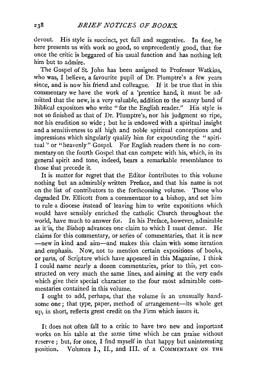devout. His style is succinct, yet full and suggestive. In fine, he here presents us with work so good, so unprecedently good, that for once the critic is beggared of his usual function and has nothing left him but to admire.

The Gospel of St. John has been assigned to Professor Watkins, who was, I believe, a favourite pupil of Dr. Plumptre's a few years since, and is now his friend and colleague. If it be true that in this commentary we have the work of a 'prentice hand, it must be admitted that the new, is a very valuable, addition to the scanty band of Biblical expositors who write "for the English reader." His style is not so finished as that of Dr. Plumptre's, nor his judgment so ripe, nor his erudition so wide ; but he is endowed with a spiritual insight and a sensitiveness to all high and noble spiritual conceptions and impressions which singularly qualify him for expounding the "spiritual " or "heavenly" Gospel. For English readers there is no commentary on the fourth Gospel that can compete with his, which, in its general spirit and tone, indeed, bears a remarkable resemblance to those that precede it.

It is matter for regret that the Editor contributes to this volume nothing but an admirably written Preface, and that his name is not on the list of contributors to the forthcoming volume. Those who degraded Dr. Ellicott from a commentator to a bishop, and set him to rule a diocese instead of leaving him to write expositions which would have sensibly enriched the catholic Church throughout the world, have much to answer for. In his Preface, however, admirable as it is, the Bishop advances one claim to which I must demur. He claims for this commentary, or series of commentaries, that it is new -new in kind and aim-and makes this claim with some iteration and emphasis. Now, not to mention certain expositions of books, or parts, of Scripture which have appeared in this Magazine, I think I could name nearly a dozen commentaries, prior to this, yet constructed on very much the same lines, and aiming at the very ends which give their special character to the four most admirable commentaries contained in this volume.

I ought to add, perhaps, that the volume is an unusually handsome one; that type, paper, method of arrangement-its whole get up, in short, reflects great credit on the Firm which issues it.

It does not often fall to a critic to have two new and important works on his table at the same time which he can praise without reserve ; but, for once, I find myself in that happy but uninteresting position. Volumes I., II., and III. of a COMMENTARY ON THE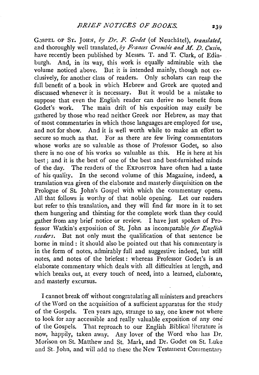GOSPEL OF ST. JOHN, by Dr. F. Godet (of Neuchatel), *translated*, and thoroughly well translated, by Frances Crombie and M. D. Cusin, have recently been published by Messrs. T. and T. Clark, of Edinburgh. And, in its way, this work is equally admirable with the volume noticed above. But it is intended mainly, though not exclusively, for another class of readers. Only scholars can reap the full benefit of a book in which Hebrew and Greek are quoted and discussed whenever it is necessary. But it would be a mistake to suppose that even the English reader can derive no benefit from<br>Godet's work. The main drift of his exposition may easily be The main drift of his exposition may easily be gathered by those who read neither Greek nor Hebrew, as may that of most commentaries in which those languages are employed for use, and not for show. And it is well worth while to make an effort to secure so much as that. For as there are few living commentators whose works are so valuable as those of Professor Godet, so also there is no one of his works so valuable as this. He is here at his best; and it is the best of one of the best and best-furnished minds of the day. The readers of the ExPOSITOR have often had a taste of his quality. In the second volume of this Magazine, indeed, a translation was given of the elaborate and masterly disquisition on the Prologue of St. John's Gospel with which the commentary opens. All that follows is worthy of that noble opening. Let our readers but refer to this translation, and they will find far more in it to set them hungering and thirsting for the complete work than they could gather from any brief notice or review. I have just spoken of Professor Watkin's exposition of St. John as incomparable for English *readers.* But not only must the qualification of that sentence be borne in mind : it should also be pointed out that his commentary is in the form of notes, admirably full and suggestive indeed, but still notes, and notes of the briefest: whereas Professor Godet's is an elaborate commentary which deals with all difficulties at length, and which breaks out, at every touch of need, into a learned, elaborate, and masterly excursus.

I cannot break off without congratulating all ministers and preachers of the Word on the acquisition of a sufficient apparatus for the study of the Gospels. Ten years ago, strange to say, one knew not where to look for any accessible and really valuable exposition of any one of the Gospels. That reproach to our English Biblical !itcrature is now, happily, taken away. Any lover of the Word who has Dr. Morison on St. Matthew and St. Mark, and Dr. Godet on St. Luke and St. John, and will add to these the New Testament Commentary